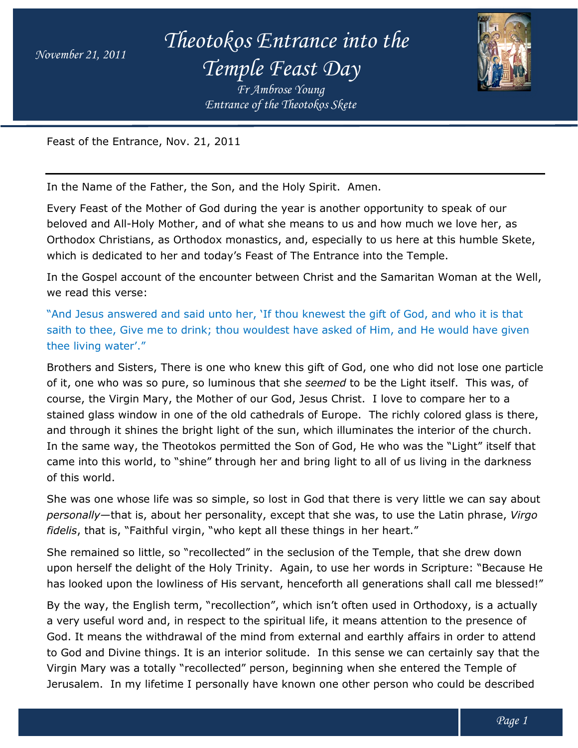*Theotokos Entrance into the Temple Feast Day*





Feast of the Entrance, Nov. 21, 2011

In the Name of the Father, the Son, and the Holy Spirit. Amen.

Every Feast of the Mother of God during the year is another opportunity to speak of our beloved and All-Holy Mother, and of what she means to us and how much we love her, as Orthodox Christians, as Orthodox monastics, and, especially to us here at this humble Skete, which is dedicated to her and today's Feast of The Entrance into the Temp Temple. of the Entrance, Nov. 21, 2011<br>
Name of the Father, the Son, and the Holy Spirit. Amen.<br>
Feast of the Mother of God during the year is another opportunity to speak of our<br>
dd and All-Holy Mother, and of what she means to u

In the Gospel account of the encounter between Christ and the Samaritan Woman at the Well, we read this verse:

"And Jesus answered and said unto her, 'If thou knewest the gift of God, and who it is that saith to thee, Give me to drink; thou wouldest have asked of Him, and He would have given thee living water'."

Brothers and Sisters, There is one who knew this gift of God, one who did not lose one particle Brothers and Sisters, There is one who knew this gift of God, one who did not l<br>of it, one who was so pure, so luminous that she *seemed* to be the Light itself. course, the Virgin Mary, the Mother of our God, Jesus Christ. I love to compare her to a course, the Virgin Mary, the Mother of our God, Jesus Christ. I love to compare her to a<br>stained glass window in one of the old cathedrals of Europe. The richly colored glass is there, and through it shines the bright light of the sun, which illuminates the interior of the church. In the same way, the Theotokos permitted the Son of God, He who was the "Light" itself that came into this world, to "shine" through her and bring light to all of us living in the darkness of this world. *Entrance of the Theotokos Skete*<br>
7. 2011<br>
2. Son, and the Holy Spirit. Amer<br>
and of what she means to us and<br>
dox monastics, and, especially ttdday's Feast of The Entrance in<br>
mcounter between Christ and the<br>
unto her, ' e way, the Theotokos permitted the Son of God, He who was the "Light" itself that<br>his world, to "shine" through her and bring light to all of us living in the darkness<br>d.<br>e whose life was so simple, so lost in God that the t have asked of Him, and He would have given<br>this gift of God, one who did not lose one partio<br>she seemed to be the Light itself. This was, of n it shines the bright light of the sun, which illuminates the interior of the<br>e way, the Theotokos permitted the Son of God, He who was the "Light" it<br>his world, to "shine" through her and bring light to all of us living

She was one whose life was so simple, so lost in God that there is very little we can say about *personally*—that is, about her personality, except that she was, to use the Latin phrase, *Virgo personally—*that is, about her personality, except that she was, to use t<br>*fidelis*, that is, "Faithful virgin, "who kept all these things in her heart."

She remained so little, so "recollected" in the seclusion of the Temple, that she drew down upon herself the delight of the Holy Trinity. Again, to use her words in Scripture: "Because He has looked upon the lowliness of His servant, henceforth all gen erations shall recollected" in the seclusion of the Temple, that she drew down<br>the Holy Trinity. Again, to use her words in Scripture: "Because He<br>ess of His servant, henceforth all generations shall call me blessed!"

By the way, the English term, "recollection", which isn't often used in Orthodoxy, is a actually a very useful word and, in respect to the spiritual life, it means attention to the presence of God. It means the withdrawal of the mind from external and earthly affairs in order to attend to God and Divine things. It is an interior solitude. In this sense we can certainly say that the Virgin Mary was a totally "recollected" person, beginning when she entered the Temple of Jerusalem. In my lifetime I personally have known one other person who could be described By the way, the English term, "recollection", which isn't often used in Orthodoxy, is a actu<br>a very useful word and, in respect to the spiritual life, it means attention to the presence c<br>God. It means the withdrawal of th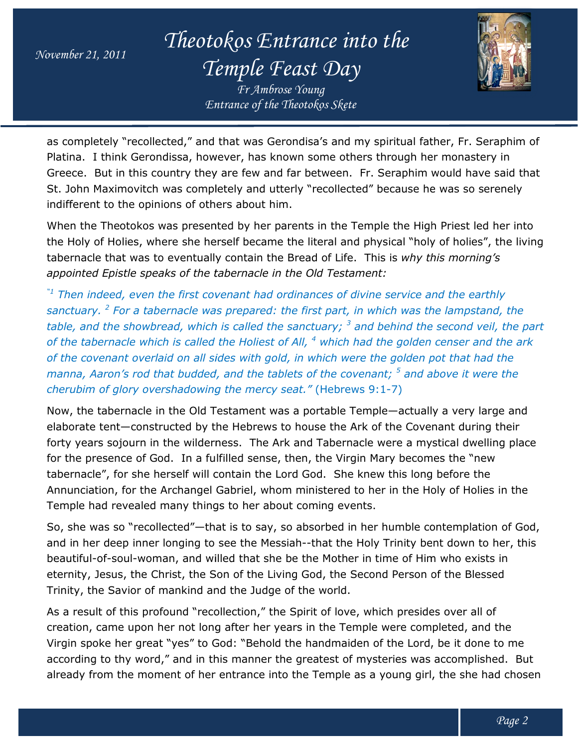*Theotokos Entrance into the Temple Feast Day*

*Entrance of the Theotokos Skete Fr Ambrose Young*



as completely "recollected," and that was Gerondisa's and my spiritual father, Fr. Seraphim of Platina. I think Gerondissa, however, has known some others through her monastery in Greece. But in this country they are few and far between. Fr. Seraphim would have said that St. John Maximovitch was completely and utterly "recollected" because he was so serenely indifferent to the opinions of others about him.

When the Theotokos was presented by her parents in the Temple the High Priest led her into the Holy of Holies, where she herself became the literal and physical "holy of holies", the living tabernacle that was to eventually contain the Bread of Life. This is *this morning's appointed Epistle speaks of the tabernacle in the Old Testament:* But in this country they are few and far between. Fr. Seraphim wo<br>Maximovitch was completely and utterly "recollected" because he w<br>it to the opinions of others about him.<br>Paraments in the Temple the High F<br>of Holies, wher

appointed Epistle speaks of the tabernacle in the Old Testament:<br><sup>"1</sup> Then indeed, even the first covenant had ordinances of divine service and the earthly *sanctuary. <sup>2</sup> For a tabernacle was prepared: the first For part, in which was the lampstand, the table, and the showbread, which is called the sanctuary; <sup>3</sup> and behind the second veil, the part of the tabernacle which is called the Holiest of All, <sup>4</sup> which had the golden censer and the ark*  of the covenant overlaid on all sides with gold, in which were the golden pot that had the *manna, Aaron's rod that budded, and the tablets of the covenant; <sup>5</sup> and above it were the cherubim of glory overshadowing the mercy seat."* (Hebrews 9:1-7) *the was the lampstand, the*<br>*and behind the second veil, the*<br>*had the golden censer and the a*<br>*rre the golden pot that had the*<br>*venant; <sup>5</sup> and above it were the* 

Now, the tabernacle in the Old Testament was a portable Temple—actually a very large and elaborate tent—constructed by the Hebrews to house the Ark of the Covenant during their forty years sojourn in the wilderness. The Ark and Tabernacle were a mystical dwelling place for the presence of God. In a fulfilled sense, then, the Virgin Mary becomes the "new tabernacle", for she herself will contain the Lord God. She knew this long before the Annunciation, for the Archangel Gabriel, whom ministered to her in the Holy of Holies in the Temple had revealed many things to her about com *Entrance of the Theotokos Skete*<br> **International that was Gerondisa's and my**<br>
bowever, has known some others<br>
ey are few and far between. Fr.<br>
pletely and utterly "recollected"<br>
thers about him.<br>
ented by her parents in elaborate tent—constructed by the Hebrews to house the Ark of the Covenant during their<br>forty years sojourn in the wilderness. The Ark and Tabernacle were a mystical dwelling place<br>for the presence of God. In a fulfilled s for she herself will contain the Lord God. She knew this<br>1, for the Archangel Gabriel, whom ministered to her in th<br>revealed many things to her about coming events. constructed by the Hebrews to house the Ark of the Covenant during the<br>urn in the wilderness. The Ark and Tabernacle were a mystical dwelling p<br>of God. In a fulfilled sense, then, the Virgin Mary becomes the "new<br>she herse

So, she was so "recollected"—that is to say, so absorbed in her humble contemplation of God, So, she was so "recollected"—that is to say, so absorbed in her humble contemplation of God,<br>and in her deep inner longing to see the Messiah--that the Holy Trinity bent down to her, this beautiful-of-soul-woman, and willed that she be the Mother in time of Him who exists in eternity, Jesus, the Christ, the Son of the Living God, the Second Person of the Blessed Trinity, the Savior of mankind and the Judge of the world.

Trinity, the Savior of mankind and the Judge of the world.<br>As a result of this profound "recollection," the Spirit of love, which presides over all of creation, came upon her not long after her years in the Temple were completed, and the Virgin spoke her great "yes" to God: "Behold the handmaiden of the Lord, be it done to me creation, came upon her not long after her years in the Temple were completed, and the<br>Virgin spoke her great "yes" to God: "Behold the handmaiden of the Lord, be it done to me<br>according to thy word," and in this manner th already from the moment of her entrance into the Temple as a young girl, the she had chosen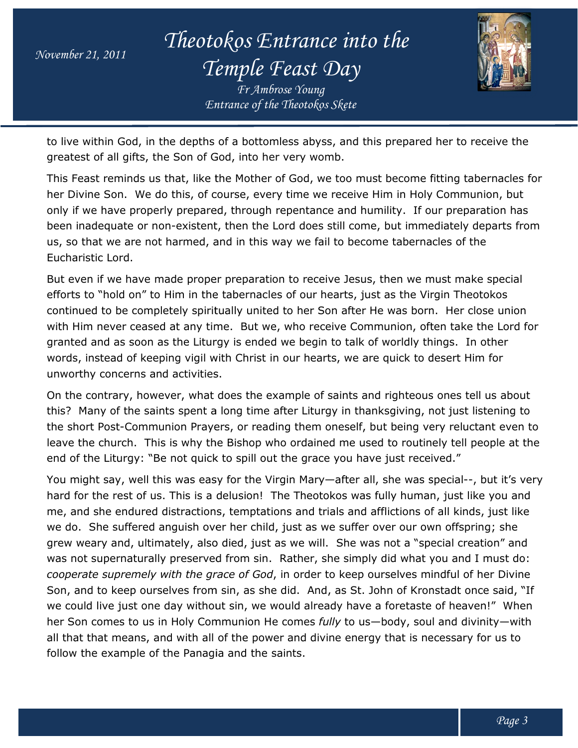*Theotokos Entrance into the Temple Feast Day*

*Entrance of the Theotokos Skete Fr Ambrose Young*



to live within God, in the depths of a bottomless abyss, and this prepared her to receive the to live within God, in the depths of a bottomless abyss, ar<br>greatest of all gifts, the Son of God, into her very womb.

This Feast reminds us that, like the Mother of God, we too must become fitting tabernacles for her Divine Son. We do this, of course, every time we receive Him in Holy Communion, but only if we have properly prepared, through repentance and humility. If our preparation has been inadequate or non-existent, then the Lord does still come, but immediately departs from us, so that we are not harmed, and in this way we fail to become tabernacles of the Eucharistic Lord. This Feast reminds us that, like the Mother of God, we too must become fitting tabernacles f<br>her Divine Son. We do this, of course, every time we receive Him in Holy Communion, but<br>only if we have properly prepared, throug

But even if we have made proper preparation to receive Jesus, then we must make special efforts to "hold on" to Him in the tabernacles of our hearts, just as the Virgin Theotokos continued to be completely spiritually united to her Son after He was born. Her close union with Him never ceased at any time. But we, who receive Communion, often take the Lord for granted and as soon as the Liturgy is ended we begin to talk of worldly things. In other words, instead of keeping vigil with Christ in our hearts, we are quick to desert Him for unworthy concerns and activities. been inadequate or non-existent, then the Lord does still come, but immediately departs f<br>us, so that we are not harmed, and in this way we fail to become tabernacles of the<br>Eucharistic Lord.<br>But even if we have made prope prepared, through repentance and humility. If our preparation has<br>existent, then the Lord does still come, but immediately departs from<br>armed, and in this way we fail to become tabernacles of the<br>le proper preparation to r

On the contrary, however, what does the example of saints and righteous ones tell us about this? Many of the saints spent a long time after Liturgy in thanksgiving, not just listening to the short Post-Communion Prayers, or reading them oneself, but being very reluctant even to leave the church. This is why the Bishop who ordained me used to routinely tell people at the end of the Liturgy: "Be not quick to spill out the grace you have just received."

You might say, well this was easy for the Virgin Mary—after all, she was special--, but it's very hard for the rest of us. This is a delusion! The Theotokos was fully human, just like you and me, and she endured distractions, temptations and trials and afflictions of we do. She suffered anguish over her child, just as we suffer over our own offspring; she grew weary and, ultimately, also died, just as we will. She was not a "special creation" and grew weary and, ultimately, also died, just as we will. She was not a "special creation" and<br>was not supernaturally preserved from sin. Rather, she simply did what you and I must do: *cooperate supremely with the grace of God*, in order to keep ourselves mindful of her Divine Son, and to keep ourselves from sin, as she did. And, as St. John of Kronstadt once said, "If we could live just one day without sin, we would already have a foretaste of heaven!" When her Son comes to us in Holy Communion He comes *fully* to us—body, soul and divinity—with all that that means, and with all of the power and divine energy that is necessary for us to<br>follow the example of the Panagia and the saints. follow the example of the Panagia and the saints. *Entrance of the Theotokos Skete*<br> **the Theotokos Actual Andmunity Complement** of God, into her very womb.<br> **c** the Mother of God, we too must f course, every time we receive<br>
red, through repentance and hunder, then the L d for the rest of us. This is a delusion! The Theotokos was fully human, just like you ar<br>, and she endured distractions, temptations and trials and afflictions of all kinds, just lik<br>do. She suffered anguish over her chil urally preserved from sin. Rather, she simply did what you and I must do:<br>
rely with the grace of God, in order to keep ourselves mindful of her Divine<br>
ourselves from sin, as she did. And, as St. John of Kronstadt once sa all kinds, just like